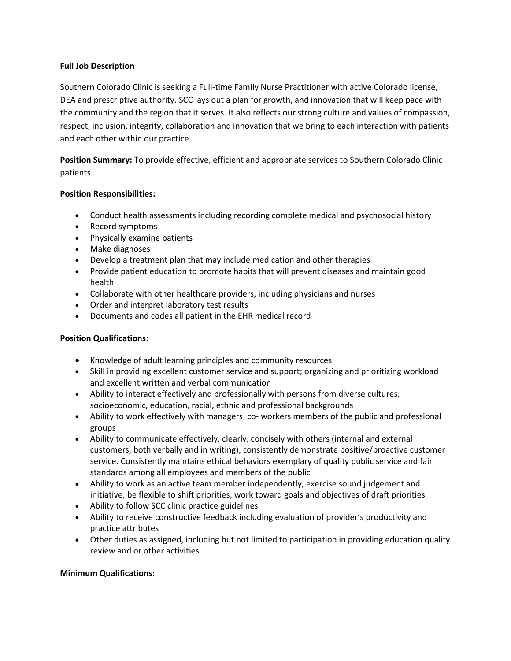## **Full Job Description**

Southern Colorado Clinic is seeking a Full-time Family Nurse Practitioner with active Colorado license, DEA and prescriptive authority. SCC lays out a plan for growth, and innovation that will keep pace with the community and the region that it serves. It also reflects our strong culture and values of compassion, respect, inclusion, integrity, collaboration and innovation that we bring to each interaction with patients and each other within our practice.

**Position Summary:** To provide effective, efficient and appropriate services to Southern Colorado Clinic patients.

## **Position Responsibilities:**

- Conduct health assessments including recording complete medical and psychosocial history
- Record symptoms
- Physically examine patients
- Make diagnoses
- Develop a treatment plan that may include medication and other therapies
- Provide patient education to promote habits that will prevent diseases and maintain good health
- Collaborate with other healthcare providers, including physicians and nurses
- Order and interpret laboratory test results
- Documents and codes all patient in the EHR medical record

## **Position Qualifications:**

- Knowledge of adult learning principles and community resources
- Skill in providing excellent customer service and support; organizing and prioritizing workload and excellent written and verbal communication
- Ability to interact effectively and professionally with persons from diverse cultures, socioeconomic, education, racial, ethnic and professional backgrounds
- Ability to work effectively with managers, co- workers members of the public and professional groups
- Ability to communicate effectively, clearly, concisely with others (internal and external customers, both verbally and in writing), consistently demonstrate positive/proactive customer service. Consistently maintains ethical behaviors exemplary of quality public service and fair standards among all employees and members of the public
- Ability to work as an active team member independently, exercise sound judgement and initiative; be flexible to shift priorities; work toward goals and objectives of draft priorities
- Ability to follow SCC clinic practice guidelines
- Ability to receive constructive feedback including evaluation of provider's productivity and practice attributes
- Other duties as assigned, including but not limited to participation in providing education quality review and or other activities

## **Minimum Qualifications:**